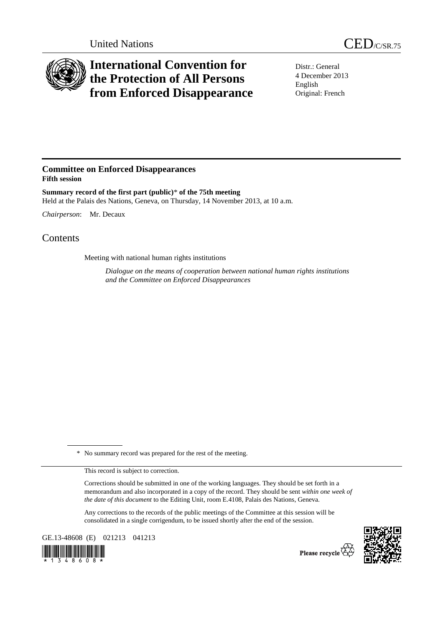

## **International Convention for the Protection of All Persons from Enforced Disappearance**

Distr.: General 4 December 2013 English Original: French

## **Committee on Enforced Disappearances Fifth session**

**Summary record of the first part (public)**\* **of the 75th meeting**  Held at the Palais des Nations, Geneva, on Thursday, 14 November 2013, at 10 a.m.

*Chairperson*: Mr. Decaux

## **Contents**

Meeting with national human rights institutions

*Dialogue on the means of cooperation between national human rights institutions and the Committee on Enforced Disappearances* 

\* No summary record was prepared for the rest of the meeting.

This record is subject to correction.

Corrections should be submitted in one of the working languages. They should be set forth in a memorandum and also incorporated in a copy of the record. They should be sent *within one week of the date of this document* to the Editing Unit, room E.4108, Palais des Nations, Geneva.

Any corrections to the records of the public meetings of the Committee at this session will be consolidated in a single corrigendum, to be issued shortly after the end of the session.

GE.13-48608 (E) 021213 041213





Please recycle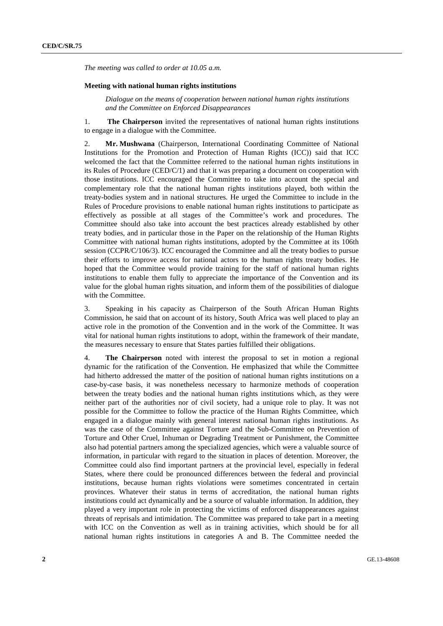*The meeting was called to order at 10.05 a.m.* 

## **Meeting with national human rights institutions**

*Dialogue on the means of cooperation between national human rights institutions and the Committee on Enforced Disappearances* 

1. **The Chairperson** invited the representatives of national human rights institutions to engage in a dialogue with the Committee.

2. **Mr. Mushwana** (Chairperson, International Coordinating Committee of National Institutions for the Promotion and Protection of Human Rights (ICC)) said that ICC welcomed the fact that the Committee referred to the national human rights institutions in its Rules of Procedure (CED/C/1) and that it was preparing a document on cooperation with those institutions. ICC encouraged the Committee to take into account the special and complementary role that the national human rights institutions played, both within the treaty-bodies system and in national structures. He urged the Committee to include in the Rules of Procedure provisions to enable national human rights institutions to participate as effectively as possible at all stages of the Committee's work and procedures. The Committee should also take into account the best practices already established by other treaty bodies, and in particular those in the Paper on the relationship of the Human Rights Committee with national human rights institutions, adopted by the Committee at its 106th session (CCPR/C/106/3). ICC encouraged the Committee and all the treaty bodies to pursue their efforts to improve access for national actors to the human rights treaty bodies. He hoped that the Committee would provide training for the staff of national human rights institutions to enable them fully to appreciate the importance of the Convention and its value for the global human rights situation, and inform them of the possibilities of dialogue with the Committee.

3. Speaking in his capacity as Chairperson of the South African Human Rights Commission, he said that on account of its history, South Africa was well placed to play an active role in the promotion of the Convention and in the work of the Committee. It was vital for national human rights institutions to adopt, within the framework of their mandate, the measures necessary to ensure that States parties fulfilled their obligations.

4. **The Chairperson** noted with interest the proposal to set in motion a regional dynamic for the ratification of the Convention. He emphasized that while the Committee had hitherto addressed the matter of the position of national human rights institutions on a case-by-case basis, it was nonetheless necessary to harmonize methods of cooperation between the treaty bodies and the national human rights institutions which, as they were neither part of the authorities nor of civil society, had a unique role to play. It was not possible for the Committee to follow the practice of the Human Rights Committee, which engaged in a dialogue mainly with general interest national human rights institutions. As was the case of the Committee against Torture and the Sub-Committee on Prevention of Torture and Other Cruel, Inhuman or Degrading Treatment or Punishment, the Committee also had potential partners among the specialized agencies, which were a valuable source of information, in particular with regard to the situation in places of detention. Moreover, the Committee could also find important partners at the provincial level, especially in federal States, where there could be pronounced differences between the federal and provincial institutions, because human rights violations were sometimes concentrated in certain provinces. Whatever their status in terms of accreditation, the national human rights institutions could act dynamically and be a source of valuable information. In addition, they played a very important role in protecting the victims of enforced disappearances against threats of reprisals and intimidation. The Committee was prepared to take part in a meeting with ICC on the Convention as well as in training activities, which should be for all national human rights institutions in categories A and B. The Committee needed the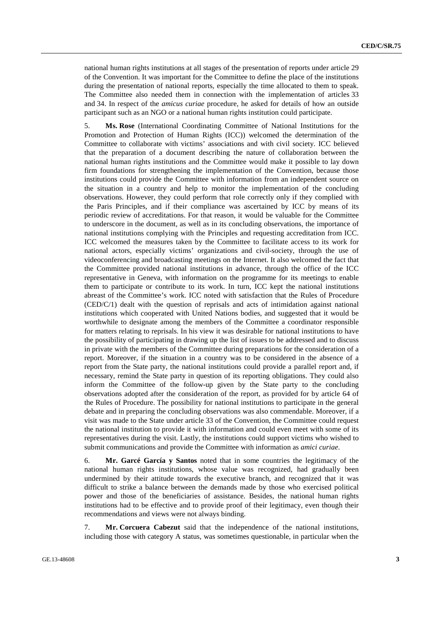national human rights institutions at all stages of the presentation of reports under article 29 of the Convention. It was important for the Committee to define the place of the institutions during the presentation of national reports, especially the time allocated to them to speak. The Committee also needed them in connection with the implementation of articles 33 and 34. In respect of the *amicus curiae* procedure, he asked for details of how an outside participant such as an NGO or a national human rights institution could participate.

5. **Ms. Rose** (International Coordinating Committee of National Institutions for the Promotion and Protection of Human Rights (ICC)) welcomed the determination of the Committee to collaborate with victims' associations and with civil society. ICC believed that the preparation of a document describing the nature of collaboration between the national human rights institutions and the Committee would make it possible to lay down firm foundations for strengthening the implementation of the Convention, because those institutions could provide the Committee with information from an independent source on the situation in a country and help to monitor the implementation of the concluding observations. However, they could perform that role correctly only if they complied with the Paris Principles, and if their compliance was ascertained by ICC by means of its periodic review of accreditations. For that reason, it would be valuable for the Committee to underscore in the document, as well as in its concluding observations, the importance of national institutions complying with the Principles and requesting accreditation from ICC. ICC welcomed the measures taken by the Committee to facilitate access to its work for national actors, especially victims' organizations and civil-society, through the use of videoconferencing and broadcasting meetings on the Internet. It also welcomed the fact that the Committee provided national institutions in advance, through the office of the ICC representative in Geneva, with information on the programme for its meetings to enable them to participate or contribute to its work. In turn, ICC kept the national institutions abreast of the Committee's work. ICC noted with satisfaction that the Rules of Procedure (CED/C/1) dealt with the question of reprisals and acts of intimidation against national institutions which cooperated with United Nations bodies, and suggested that it would be worthwhile to designate among the members of the Committee a coordinator responsible for matters relating to reprisals. In his view it was desirable for national institutions to have the possibility of participating in drawing up the list of issues to be addressed and to discuss in private with the members of the Committee during preparations for the consideration of a report. Moreover, if the situation in a country was to be considered in the absence of a report from the State party, the national institutions could provide a parallel report and, if necessary, remind the State party in question of its reporting obligations. They could also inform the Committee of the follow-up given by the State party to the concluding observations adopted after the consideration of the report, as provided for by article 64 of the Rules of Procedure. The possibility for national institutions to participate in the general debate and in preparing the concluding observations was also commendable. Moreover, if a visit was made to the State under article 33 of the Convention, the Committee could request the national institution to provide it with information and could even meet with some of its representatives during the visit. Lastly, the institutions could support victims who wished to submit communications and provide the Committee with information as *amici curiae*.

6. **Mr. Garcé García y Santos** noted that in some countries the legitimacy of the national human rights institutions, whose value was recognized, had gradually been undermined by their attitude towards the executive branch, and recognized that it was difficult to strike a balance between the demands made by those who exercised political power and those of the beneficiaries of assistance. Besides, the national human rights institutions had to be effective and to provide proof of their legitimacy, even though their recommendations and views were not always binding.

7. **Mr. Corcuera Cabezut** said that the independence of the national institutions, including those with category A status, was sometimes questionable, in particular when the